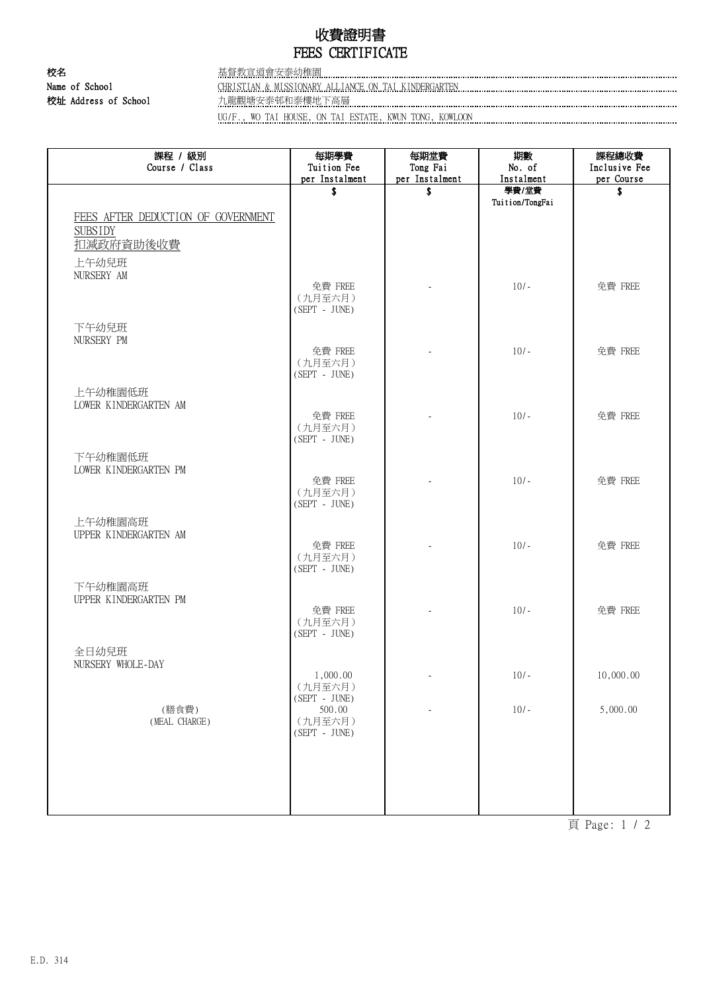# 收費證明書 FEES CERTIFICATE

校名 基督教宣道會安泰幼稚園 Name of School CHRISTIAN & MISSIONARY ALLIANCE ON TAI KINDERGARTEN 校址 Address of School 九龍觀塘安泰邨和泰樓地下高層

UG/F., WO TAI HOUSE, ON TAI ESTATE, KWUN TONG, KOWLOON

| 課程 / 級別<br>Course / Class          | 每期學費<br>Tuition Fee        | 每期堂費<br>Tong Fai | 期數<br>No. of        | 課程總收費<br>Inclusive Fee |
|------------------------------------|----------------------------|------------------|---------------------|------------------------|
|                                    | per Instalment             | per Instalment   | Instalment<br>學費/堂費 | per Course             |
|                                    | \$                         | \$               | Tuition/TongFai     | \$                     |
| FEES AFTER DEDUCTION OF GOVERNMENT |                            |                  |                     |                        |
| <b>SUBSIDY</b>                     |                            |                  |                     |                        |
| 扣减政府資助後收費                          |                            |                  |                     |                        |
| 上午幼兒班<br>NURSERY AM                |                            |                  |                     |                        |
|                                    | 免費 FREE                    |                  | $10/-$              | 免費 FREE                |
|                                    | (九月至六月)<br>$(SEPT - JUNE)$ |                  |                     |                        |
| 下午幼兒班                              |                            |                  |                     |                        |
| NURSERY PM                         |                            |                  |                     |                        |
|                                    | 免費 FREE                    |                  | $10/-$              | 免費 FREE                |
|                                    | (九月至六月)<br>$(SEPT - JUNE)$ |                  |                     |                        |
| 上午幼稚園低班                            |                            |                  |                     |                        |
| LOWER KINDERGARTEN AM              | 免費 FREE                    |                  |                     |                        |
|                                    | (九月至六月)                    |                  | $10/-$              | 免費 FREE                |
|                                    | $(SEPT - JUNE)$            |                  |                     |                        |
| 下午幼稚園低班                            |                            |                  |                     |                        |
| LOWER KINDERGARTEN PM              | 免費 FREE                    |                  | $10/-$              | 免費 FREE                |
|                                    | (九月至六月)<br>(SEPT - JUNE)   |                  |                     |                        |
| 上午幼稚園高班                            |                            |                  |                     |                        |
| UPPER KINDERGARTEN AM              |                            |                  |                     |                        |
|                                    | 免費 FREE<br>(九月至六月)         |                  | $10/-$              | 免費 FREE                |
|                                    | $(SEPT - JUNE)$            |                  |                     |                        |
| 下午幼稚園高班                            |                            |                  |                     |                        |
| UPPER KINDERGARTEN PM              | 免費 FREE                    |                  | $10/-$              | 免費 FREE                |
|                                    | (九月至六月)                    |                  |                     |                        |
|                                    | $(SEPT - JUNE)$            |                  |                     |                        |
| 全日幼兒班<br>NURSERY WHOLE-DAY         |                            |                  |                     |                        |
|                                    | 1,000.00                   |                  | $10/-$              | 10,000.00              |
|                                    | (九月至六月)<br>$(SEPT - JUNE)$ |                  |                     |                        |
| (膳食費)                              | 500.00                     |                  | $10/-$              | 5,000.00               |
| (MEAL CHARGE)                      | (九月至六月)<br>(SEPT - JUNE)   |                  |                     |                        |
|                                    |                            |                  |                     |                        |
|                                    |                            |                  |                     |                        |
|                                    |                            |                  |                     |                        |
|                                    |                            |                  |                     |                        |
|                                    |                            |                  |                     |                        |

頁 Page: 1 / 2